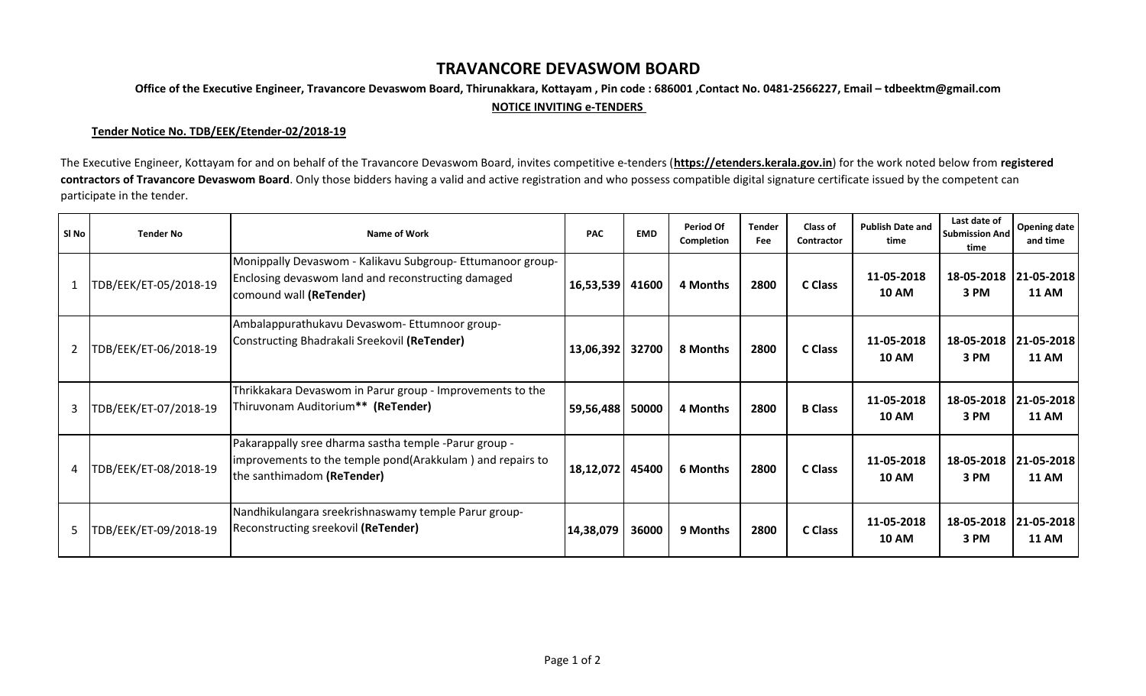## **TRAVANCORE DEVASWOM BOARD**

**Office of the Executive Engineer, Travancore Devaswom Board, Thirunakkara, Kottayam , Pin code : 686001 ,Contact No. 0481-2566227, Email – tdbeektm@gmail.com**

## **NOTICE INVITING e-TENDERS**

## **Tender Notice No. TDB/EEK/Etender-02/2018-19**

The Executive Engineer, Kottayam for and on behalf of the Travancore Devaswom Board, invites competitive e-tenders (**https://etenders.kerala.gov.in**) for the work noted below from **registered**  contractors of Travancore Devaswom Board. Only those bidders having a valid and active registration and who possess compatible digital signature certificate issued by the competent can participate in the tender.

| SI No          | <b>Tender No</b>      | Name of Work                                                                                                                                     | <b>PAC</b> | <b>EMD</b> | <b>Period Of</b><br>Completion | <b>Tender</b><br>Fee | <b>Class of</b><br><b>Contractor</b> | <b>Publish Date and</b><br>time | Last date of<br><b>Submission And</b><br>time | <b>Opening date</b><br>and time |
|----------------|-----------------------|--------------------------------------------------------------------------------------------------------------------------------------------------|------------|------------|--------------------------------|----------------------|--------------------------------------|---------------------------------|-----------------------------------------------|---------------------------------|
| $\mathbf{1}$   | TDB/EEK/ET-05/2018-19 | Monippally Devaswom - Kalikavu Subgroup- Ettumanoor group-<br>Enclosing devaswom land and reconstructing damaged<br>comound wall (ReTender)      | 16,53,539  | 41600      | 4 Months                       | 2800                 | <b>C</b> Class                       | 11-05-2018<br><b>10 AM</b>      | 18-05-2018<br>3 PM                            | 21-05-2018<br><b>11 AM</b>      |
| $\overline{2}$ | TDB/EEK/ET-06/2018-19 | Ambalappurathukavu Devaswom- Ettumnoor group-<br>Constructing Bhadrakali Sreekovil (ReTender)                                                    | 13,06,392  | 32700      | 8 Months                       | 2800                 | <b>C</b> Class                       | 11-05-2018<br><b>10 AM</b>      | 18-05-2018<br>3 PM                            | 21-05-2018<br><b>11 AM</b>      |
| 3              | TDB/EEK/ET-07/2018-19 | Thrikkakara Devaswom in Parur group - Improvements to the<br>Thiruvonam Auditorium** (ReTender)                                                  | 59,56,488  | 50000      | 4 Months                       | 2800                 | <b>B</b> Class                       | 11-05-2018<br><b>10 AM</b>      | 18-05-2018<br>3 PM                            | 21-05-2018<br><b>11 AM</b>      |
| 4              | TDB/EEK/ET-08/2018-19 | Pakarappally sree dharma sastha temple -Parur group -<br>improvements to the temple pond(Arakkulam) and repairs to<br>the santhimadom (ReTender) | 18,12,072  | 45400      | 6 Months                       | 2800                 | C Class                              | 11-05-2018<br><b>10 AM</b>      | 18-05-2018<br>3 PM                            | 21-05-2018<br><b>11 AM</b>      |
| 5              | TDB/EEK/ET-09/2018-19 | Nandhikulangara sreekrishnaswamy temple Parur group-<br>Reconstructing sreekovil (ReTender)                                                      | 14,38,079  | 36000      | 9 Months                       | 2800                 | C Class                              | 11-05-2018<br><b>10 AM</b>      | 18-05-2018<br>3 PM                            | 21-05-2018<br><b>11 AM</b>      |